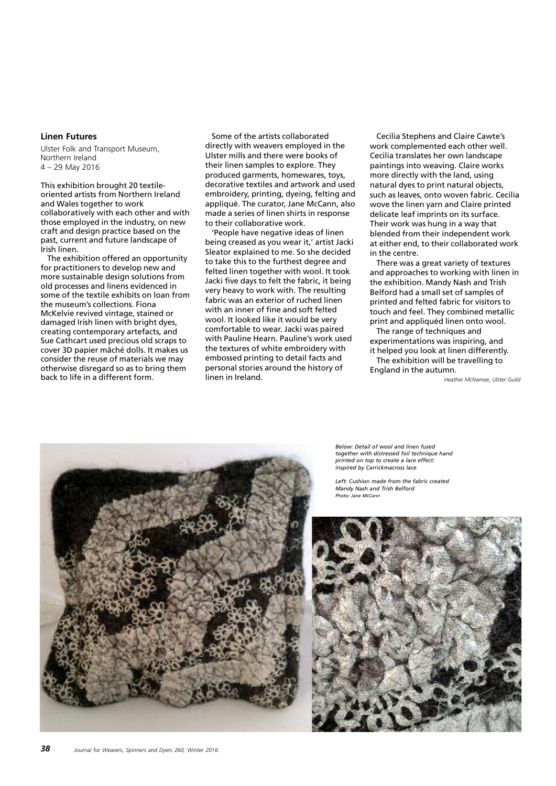## **Linen Futures**

Ulster Folk and Transport Museum, Northern Ireland 4 – 29 May 2016

This exhibition brought 20 textileoriented artists from Northern Ireland and Wales together to work collaboratively with each other and with those employed in the industry, on new craft and design practice based on the past, current and future landscape of Irish linen.

The exhibition offered an opportunity for practitioners to develop new and more sustainable design solutions from old processes and linens evidenced in some of the textile exhibits on loan from the museum's collections. Fiona McKelvie revived vintage, stained or damaged Irish linen with bright dyes, creating contemporary artefacts, and Sue Cathcart used precious old scraps to cover 3D papier mâché dolls. It makes us consider the reuse of materials we may otherwise disregard so as to bring them back to life in a different form.

Some of the artists collaborated directly with weavers employed in the Ulster mills and there were books of their linen samples to explore. They produced garments, homewares, toys, decorative textiles and artwork and used embroidery, printing, dyeing, felting and appliqué. The curator, Jane McCann, also made a series of linen shirts in response to their collaborative work.

'People have negative ideas of linen being creased as you wear it,' artist Jacki Sleator explained to me. So she decided to take this to the furthest degree and felted linen together with wool. It took Jacki five days to felt the fabric, it being very heavy to work with. The resulting fabric was an exterior of ruched linen with an inner of fine and soft felted wool. It looked like it would be very comfortable to wear. Jacki was paired with Pauline Hearn. Pauline's work used the textures of white embroidery with embossed printing to detail facts and personal stories around the history of linen in Ireland.

Cecilia Stephens and Claire Cawte's work complemented each other well. Cecilia translates her own landscape paintings into weaving. Claire works more directly with the land, using natural dyes to print natural objects, such as leaves, onto woven fabric. Cecilia wove the linen yarn and Claire printed delicate leaf imprints on its surface. Their work was hung in a way that blended from their independent work at either end, to their collaborated work in the centre.

There was a great variety of textures and approaches to working with linen in the exhibition. Mandy Nash and Trish Belford had a small set of samples of printed and felted fabric for visitors to touch and feel. They combined metallic print and appliquéd linen onto wool.

The range of techniques and experimentations was inspiring, and it helped you look at linen differently. The exhibition will be travelling to England in the autumn.

*Heather McNamee, Ulster Guild*

*Below: Detail of wool and linen fused together with distressed foil technique hand printed on top to create a lace effect: inspired by Carrickmacross lace*

*Left: Cushion made from the fabric created Mandy Nash and Trish Belford Photo: Jane McCann*